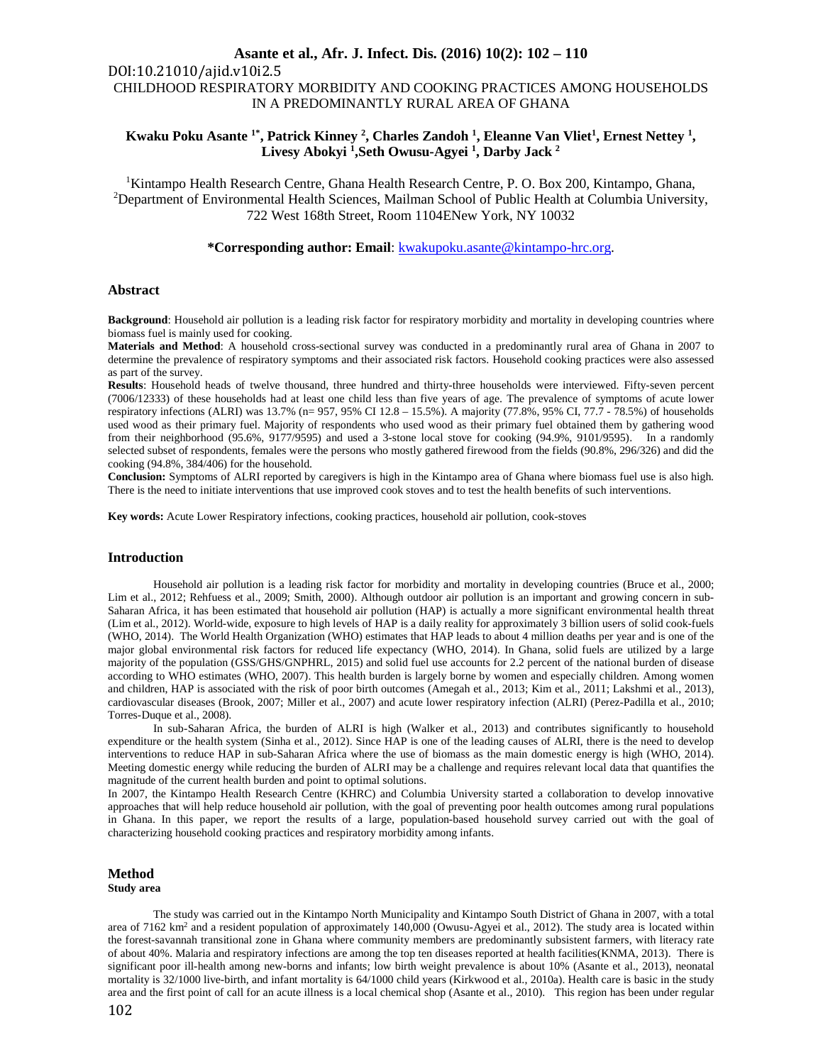# **Asante et al., Afr. J. Infect. Dis. (2016) 10(2): 102 – 110** DOI:10.21010/ajid.v10i2.5 CHILDHOOD RESPIRATORY MORBIDITY AND COOKING PRACTICES AMONG HOUSEHOLDS IN A PREDOMINANTLY RURAL AREA OF GHANA

# **Kwaku Poku Asante 1\*, Patrick Kinney <sup>2</sup> , Charles Zandoh <sup>1</sup> , Eleanne Van Vliet<sup>1</sup> , Ernest Nettey <sup>1</sup> , Livesy Abokyi <sup>1</sup> ,Seth Owusu-Agyei <sup>1</sup> , Darby Jack <sup>2</sup>**

<sup>1</sup>Kintampo Health Research Centre, Ghana Health Research Centre, P. O. Box 200, Kintampo, Ghana, <sup>2</sup>Department of Environmental Health Sciences, Mailman School of Public Health at Columbia University, 722 West 168th Street, Room 1104ENew York, NY 10032

**\*Corresponding author: Email**: kwakupoku.asante@kintampo-hrc.org.

## **Abstract**

**Background**: Household air pollution is a leading risk factor for respiratory morbidity and mortality in developing countries where biomass fuel is mainly used for cooking.

**Materials and Method**: A household cross-sectional survey was conducted in a predominantly rural area of Ghana in 2007 to determine the prevalence of respiratory symptoms and their associated risk factors. Household cooking practices were also assessed as part of the survey.

**Results**: Household heads of twelve thousand, three hundred and thirty-three households were interviewed. Fifty-seven percent (7006/12333) of these households had at least one child less than five years of age. The prevalence of symptoms of acute lower respiratory infections (ALRI) was 13.7% (n= 957, 95% CI 12.8 – 15.5%). A majority (77.8%, 95% CI, 77.7 - 78.5%) of households used wood as their primary fuel. Majority of respondents who used wood as their primary fuel obtained them by gathering wood from their neighborhood (95.6%, 9177/9595) and used a 3-stone local stove for cooking (94.9%, 9101/9595). In a randomly selected subset of respondents, females were the persons who mostly gathered firewood from the fields (90.8%, 296/326) and did the cooking (94.8%, 384/406) for the household.

**Conclusion:** Symptoms of ALRI reported by caregivers is high in the Kintampo area of Ghana where biomass fuel use is also high. There is the need to initiate interventions that use improved cook stoves and to test the health benefits of such interventions.

**Key words:** Acute Lower Respiratory infections, cooking practices, household air pollution, cook-stoves

### **Introduction**

Household air pollution is a leading risk factor for morbidity and mortality in developing countries (Bruce et al., 2000; Lim et al., 2012; Rehfuess et al., 2009; Smith, 2000). Although outdoor air pollution is an important and growing concern in sub-Saharan Africa, it has been estimated that household air pollution (HAP) is actually a more significant environmental health threat (Lim et al., 2012). World-wide, exposure to high levels of HAP is a daily reality for approximately 3 billion users of solid cook-fuels (WHO, 2014). The World Health Organization (WHO) estimates that HAP leads to about 4 million deaths per year and is one of the major global environmental risk factors for reduced life expectancy (WHO, 2014). In Ghana, solid fuels are utilized by a large majority of the population (GSS/GHS/GNPHRL, 2015) and solid fuel use accounts for 2.2 percent of the national burden of disease according to WHO estimates (WHO, 2007). This health burden is largely borne by women and especially children. Among women and children, HAP is associated with the risk of poor birth outcomes (Amegah et al., 2013; Kim et al., 2011; Lakshmi et al., 2013), cardiovascular diseases (Brook, 2007; Miller et al., 2007) and acute lower respiratory infection (ALRI) (Perez-Padilla et al., 2010; Torres-Duque et al., 2008).

In sub-Saharan Africa, the burden of ALRI is high (Walker et al., 2013) and contributes significantly to household expenditure or the health system (Sinha et al., 2012). Since HAP is one of the leading causes of ALRI, there is the need to develop interventions to reduce HAP in sub-Saharan Africa where the use of biomass as the main domestic energy is high (WHO, 2014). Meeting domestic energy while reducing the burden of ALRI may be a challenge and requires relevant local data that quantifies the magnitude of the current health burden and point to optimal solutions.

In 2007, the Kintampo Health Research Centre (KHRC) and Columbia University started a collaboration to develop innovative approaches that will help reduce household air pollution, with the goal of preventing poor health outcomes among rural populations in Ghana. In this paper, we report the results of a large, population-based household survey carried out with the goal of characterizing household cooking practices and respiratory morbidity among infants.

### **Method Study area**

The study was carried out in the Kintampo North Municipality and Kintampo South District of Ghana in 2007, with a total area of 7162 km<sup>2</sup> and a resident population of approximately 140,000 (Owusu-Agyei et al., 2012). The study area is located within the forest-savannah transitional zone in Ghana where community members are predominantly subsistent farmers, with literacy rate of about 40%. Malaria and respiratory infections are among the top ten diseases reported at health facilities(KNMA, 2013). There is significant poor ill-health among new-borns and infants; low birth weight prevalence is about 10% (Asante et al., 2013), neonatal mortality is 32/1000 live-birth, and infant mortality is 64/1000 child years (Kirkwood et al., 2010a). Health care is basic in the study area and the first point of call for an acute illness is a local chemical shop (Asante et al., 2010). This region has been under regular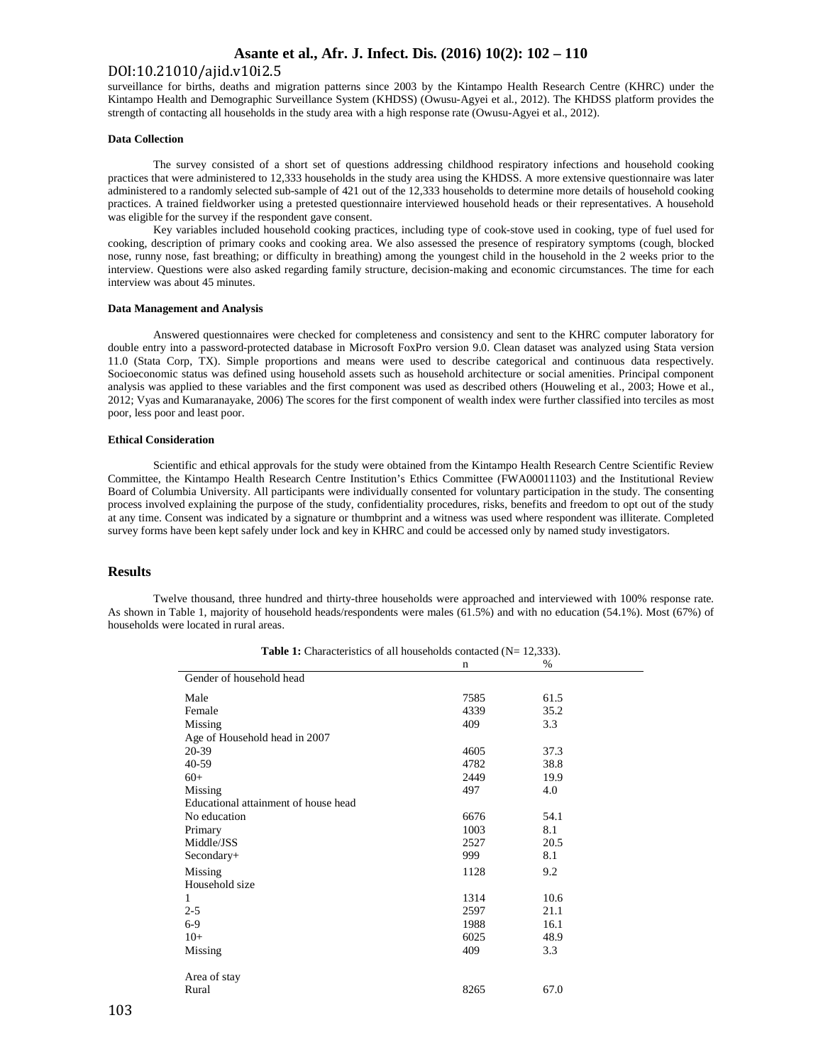## DOI:10.21010/ajid.v10i2.5

surveillance for births, deaths and migration patterns since 2003 by the Kintampo Health Research Centre (KHRC) under the Kintampo Health and Demographic Surveillance System (KHDSS) (Owusu-Agyei et al., 2012). The KHDSS platform provides the strength of contacting all households in the study area with a high response rate (Owusu-Agyei et al., 2012).

### **Data Collection**

The survey consisted of a short set of questions addressing childhood respiratory infections and household cooking practices that were administered to 12,333 households in the study area using the KHDSS. A more extensive questionnaire was later administered to a randomly selected sub-sample of 421 out of the 12,333 households to determine more details of household cooking practices. A trained fieldworker using a pretested questionnaire interviewed household heads or their representatives. A household was eligible for the survey if the respondent gave consent.

Key variables included household cooking practices, including type of cook-stove used in cooking, type of fuel used for cooking, description of primary cooks and cooking area. We also assessed the presence of respiratory symptoms (cough, blocked nose, runny nose, fast breathing; or difficulty in breathing) among the youngest child in the household in the 2 weeks prior to the interview. Questions were also asked regarding family structure, decision-making and economic circumstances. The time for each interview was about 45 minutes.

### **Data Management and Analysis**

Answered questionnaires were checked for completeness and consistency and sent to the KHRC computer laboratory for double entry into a password-protected database in Microsoft FoxPro version 9.0. Clean dataset was analyzed using Stata version 11.0 (Stata Corp, TX). Simple proportions and means were used to describe categorical and continuous data respectively. Socioeconomic status was defined using household assets such as household architecture or social amenities. Principal component analysis was applied to these variables and the first component was used as described others (Houweling et al., 2003; Howe et al., 2012; Vyas and Kumaranayake, 2006) The scores for the first component of wealth index were further classified into terciles as most poor, less poor and least poor.

### **Ethical Consideration**

Scientific and ethical approvals for the study were obtained from the Kintampo Health Research Centre Scientific Review Committee, the Kintampo Health Research Centre Institution's Ethics Committee (FWA00011103) and the Institutional Review Board of Columbia University. All participants were individually consented for voluntary participation in the study. The consenting process involved explaining the purpose of the study, confidentiality procedures, risks, benefits and freedom to opt out of the study at any time. Consent was indicated by a signature or thumbprint and a witness was used where respondent was illiterate. Completed survey forms have been kept safely under lock and key in KHRC and could be accessed only by named study investigators.

## **Results**

Twelve thousand, three hundred and thirty-three households were approached and interviewed with 100% response rate. As shown in Table 1, majority of household heads/respondents were males (61.5%) and with no education (54.1%). Most (67%) of households were located in rural areas.

|                                      | n    | %    |
|--------------------------------------|------|------|
| Gender of household head             |      |      |
| Male                                 | 7585 | 61.5 |
| Female                               | 4339 | 35.2 |
| Missing                              | 409  | 3.3  |
| Age of Household head in 2007        |      |      |
| 20-39                                | 4605 | 37.3 |
| 40-59                                | 4782 | 38.8 |
| $60+$                                | 2449 | 19.9 |
| Missing                              | 497  | 4.0  |
| Educational attainment of house head |      |      |
| No education                         | 6676 | 54.1 |
| Primary                              | 1003 | 8.1  |
| Middle/JSS                           | 2527 | 20.5 |
| Secondary+                           | 999  | 8.1  |
| Missing                              | 1128 | 9.2  |
| Household size                       |      |      |
| 1                                    | 1314 | 10.6 |
| $2 - 5$                              | 2597 | 21.1 |
| $6-9$                                | 1988 | 16.1 |
| $10+$                                | 6025 | 48.9 |
| Missing                              | 409  | 3.3  |
| Area of stay                         |      |      |
| Rural                                | 8265 | 67.0 |

| <b>Table 1:</b> Characteristics of all households contacted $(N = 12,333)$ . |  |  |
|------------------------------------------------------------------------------|--|--|
|------------------------------------------------------------------------------|--|--|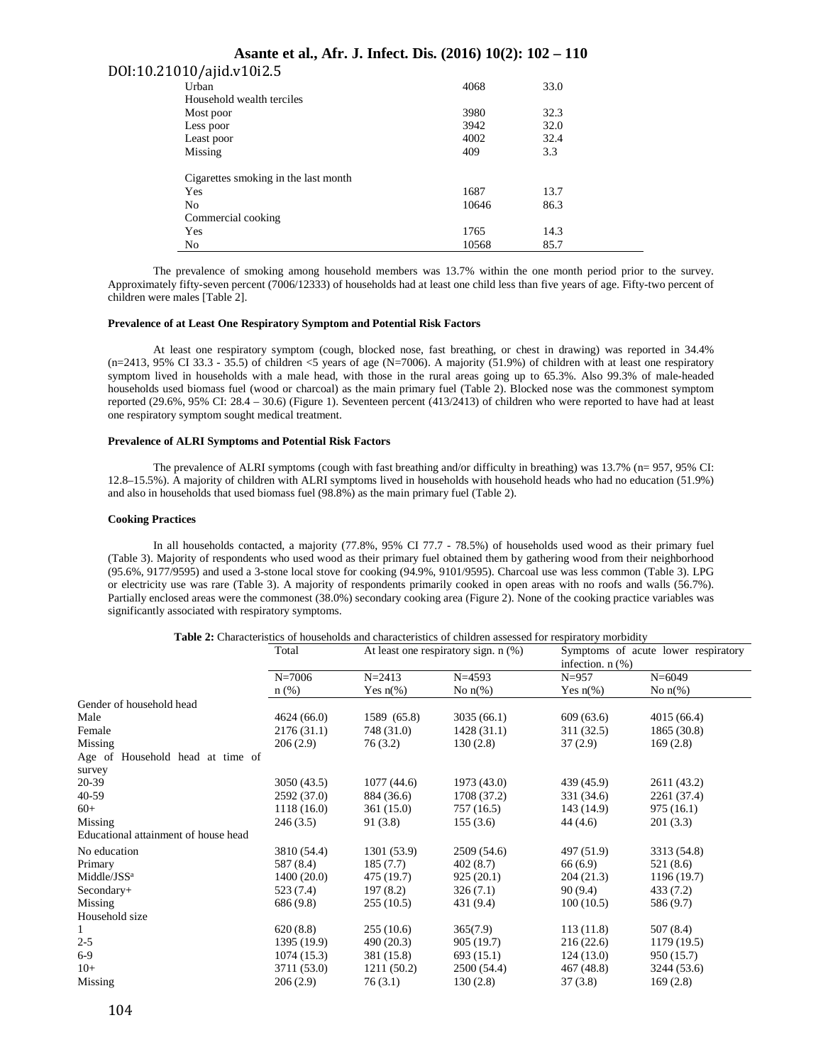| 4068  | 33.0 |  |
|-------|------|--|
|       |      |  |
| 3980  | 32.3 |  |
| 3942  | 32.0 |  |
| 4002  | 32.4 |  |
| 409   | 3.3  |  |
|       |      |  |
| 1687  | 13.7 |  |
| 10646 | 86.3 |  |
|       |      |  |
| 1765  | 14.3 |  |
| 10568 | 85.7 |  |
|       |      |  |

The prevalence of smoking among household members was 13.7% within the one month period prior to the survey. Approximately fifty-seven percent (7006/12333) of households had at least one child less than five years of age. Fifty-two percent of children were males [Table 2].

### **Prevalence of at Least One Respiratory Symptom and Potential Risk Factors**

At least one respiratory symptom (cough, blocked nose, fast breathing, or chest in drawing) was reported in 34.4% (n=2413, 95% CI 33.3 - 35.5) of children <5 years of age (N=7006). A majority (51.9%) of children with at least one respiratory symptom lived in households with a male head, with those in the rural areas going up to 65.3%. Also 99.3% of male-headed households used biomass fuel (wood or charcoal) as the main primary fuel (Table 2). Blocked nose was the commonest symptom reported (29.6%, 95% CI: 28.4 – 30.6) (Figure 1). Seventeen percent (413/2413) of children who were reported to have had at least one respiratory symptom sought medical treatment.

# **Prevalence of ALRI Symptoms and Potential Risk Factors**

The prevalence of ALRI symptoms (cough with fast breathing and/or difficulty in breathing) was 13.7% (n= 957, 95% CI: 12.8–15.5%). A majority of children with ALRI symptoms lived in households with household heads who had no education (51.9%) and also in households that used biomass fuel (98.8%) as the main primary fuel (Table 2).

#### **Cooking Practices**

In all households contacted, a majority (77.8%, 95% CI 77.7 - 78.5%) of households used wood as their primary fuel (Table 3). Majority of respondents who used wood as their primary fuel obtained them by gathering wood from their neighborhood (95.6%, 9177/9595) and used a 3-stone local stove for cooking (94.9%, 9101/9595). Charcoal use was less common (Table 3). LPG or electricity use was rare (Table 3). A majority of respondents primarily cooked in open areas with no roofs and walls (56.7%). Partially enclosed areas were the commonest (38.0%) secondary cooking area (Figure 2). None of the cooking practice variables was significantly associated with respiratory symptoms.

| <b>Table 2:</b> Characteristics of households and characteristics of children assessed for respiratory morbidity |  |  |  |  |  |  |  |  |  |
|------------------------------------------------------------------------------------------------------------------|--|--|--|--|--|--|--|--|--|
|------------------------------------------------------------------------------------------------------------------|--|--|--|--|--|--|--|--|--|

|                                      | Total       | At least one respiratory sign. $n$ (%) |                   | Symptoms of acute lower respiratory<br>infection. $n$ $(\%)$ |                   |
|--------------------------------------|-------------|----------------------------------------|-------------------|--------------------------------------------------------------|-------------------|
|                                      | $N = 7006$  | $N = 2413$                             | $N = 4593$        | $N = 957$                                                    | $N = 6049$        |
|                                      | $n$ (%)     | Yes $n\%$ )                            | No $n\frac{6}{6}$ | Yes $n\%$ )                                                  | No $n\frac{6}{6}$ |
| Gender of household head             |             |                                        |                   |                                                              |                   |
| Male                                 | 4624 (66.0) | 1589 (65.8)                            | 3035(66.1)        | 609(63.6)                                                    | 4015 (66.4)       |
| Female                               | 2176 (31.1) | 748 (31.0)                             | 1428(31.1)        | 311 (32.5)                                                   | 1865 (30.8)       |
| Missing                              | 206(2.9)    | 76(3.2)                                | 130(2.8)          | 37(2.9)                                                      | 169(2.8)          |
| Age of Household head at time of     |             |                                        |                   |                                                              |                   |
| survey                               |             |                                        |                   |                                                              |                   |
| 20-39                                | 3050 (43.5) | 1077(44.6)                             | 1973 (43.0)       | 439 (45.9)                                                   | 2611 (43.2)       |
| 40-59                                | 2592 (37.0) | 884 (36.6)                             | 1708 (37.2)       | 331 (34.6)                                                   | 2261 (37.4)       |
| $60+$                                | 1118(16.0)  | 361 (15.0)                             | 757(16.5)         | 143 (14.9)                                                   | 975(16.1)         |
| Missing                              | 246(3.5)    | 91(3.8)                                | 155(3.6)          | 44(4.6)                                                      | 201(3.3)          |
| Educational attainment of house head |             |                                        |                   |                                                              |                   |
| No education                         | 3810 (54.4) | 1301 (53.9)                            | 2509(54.6)        | 497 (51.9)                                                   | 3313 (54.8)       |
| Primary                              | 587 (8.4)   | 185(7.7)                               | 402(8.7)          | 66 (6.9)                                                     | 521 (8.6)         |
| Middle/JSS <sup>a</sup>              | 1400(20.0)  | 475 (19.7)                             | 925(20.1)         | 204 (21.3)                                                   | 1196 (19.7)       |
| Secondary+                           | 523 (7.4)   | 197(8.2)                               | 326(7.1)          | 90 (9.4)                                                     | 433 (7.2)         |
| Missing                              | 686 (9.8)   | 255(10.5)                              | 431 (9.4)         | 100(10.5)                                                    | 586 (9.7)         |
| Household size                       |             |                                        |                   |                                                              |                   |
| 1                                    | 620(8.8)    | 255(10.6)                              | 365(7.9)          | 113(11.8)                                                    | 507(8.4)          |
| $2 - 5$                              | 1395 (19.9) | 490 (20.3)                             | 905 (19.7)        | 216(22.6)                                                    | 1179 (19.5)       |
| 6-9                                  | 1074(15.3)  | 381 (15.8)                             | 693 (15.1)        | 124(13.0)                                                    | 950 (15.7)        |
| $10+$                                | 3711 (53.0) | 1211 (50.2)                            | 2500 (54.4)       | 467 (48.8)                                                   | 3244 (53.6)       |
| Missing                              | 206(2.9)    | 76(3.1)                                | 130(2.8)          | 37(3.8)                                                      | 169(2.8)          |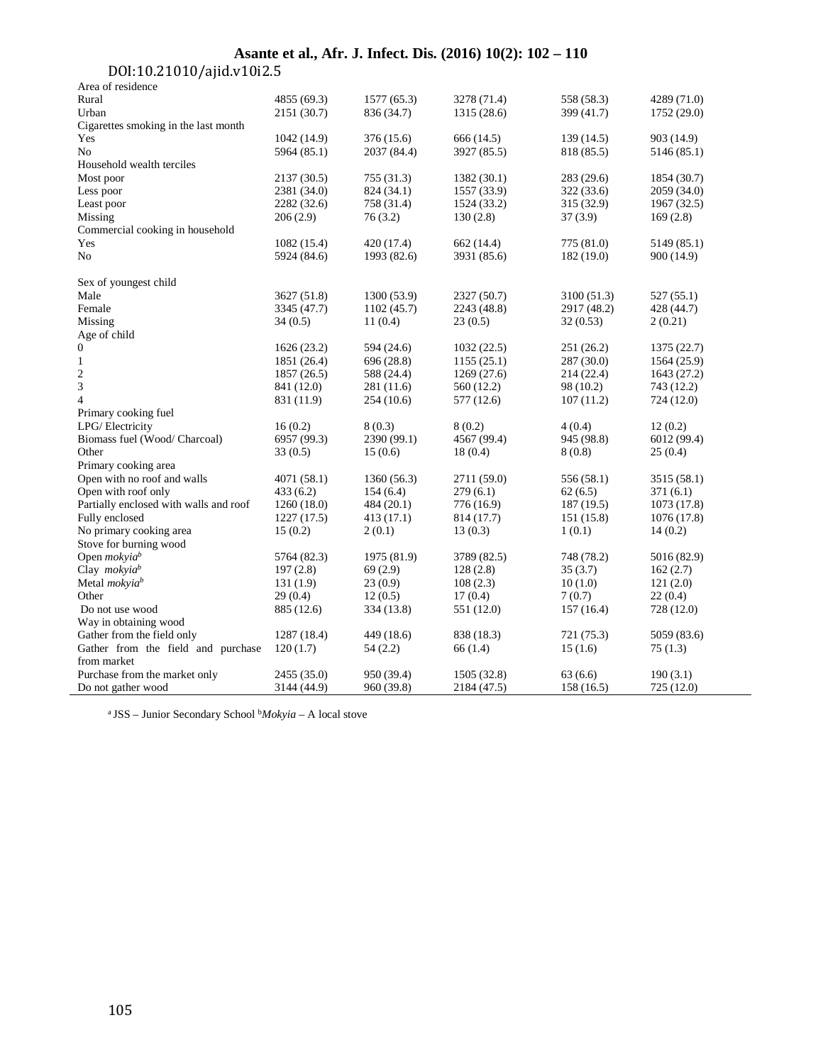DOI:10.21010/ajid.v10i2.5

| Area of residence                      |             |             |             |             |             |
|----------------------------------------|-------------|-------------|-------------|-------------|-------------|
| Rural                                  | 4855 (69.3) | 1577 (65.3) | 3278 (71.4) | 558 (58.3)  | 4289 (71.0) |
| Urban                                  | 2151 (30.7) | 836 (34.7)  | 1315 (28.6) | 399 (41.7)  | 1752 (29.0) |
| Cigarettes smoking in the last month   |             |             |             |             |             |
| Yes                                    | 1042 (14.9) | 376 (15.6)  | 666 (14.5)  | 139 (14.5)  | 903 (14.9)  |
| N <sub>o</sub>                         | 5964 (85.1) | 2037 (84.4) | 3927 (85.5) | 818 (85.5)  | 5146 (85.1) |
| Household wealth terciles              |             |             |             |             |             |
| Most poor                              | 2137 (30.5) | 755 (31.3)  | 1382 (30.1) | 283 (29.6)  | 1854 (30.7) |
| Less poor                              | 2381 (34.0) | 824 (34.1)  | 1557 (33.9) | 322(33.6)   | 2059(34.0)  |
| Least poor                             | 2282 (32.6) | 758 (31.4)  | 1524 (33.2) | 315 (32.9)  | 1967 (32.5) |
| Missing                                | 206(2.9)    | 76(3.2)     | 130(2.8)    | 37(3.9)     | 169(2.8)    |
| Commercial cooking in household        |             |             |             |             |             |
| Yes                                    | 1082 (15.4) | 420 (17.4)  | 662 (14.4)  | 775(81.0)   | 5149 (85.1) |
| No                                     | 5924 (84.6) | 1993 (82.6) | 3931 (85.6) | 182 (19.0)  | 900 (14.9)  |
| Sex of youngest child                  |             |             |             |             |             |
| Male                                   | 3627 (51.8) | 1300 (53.9) | 2327 (50.7) | 3100 (51.3) | 527(55.1)   |
| Female                                 | 3345 (47.7) | 1102(45.7)  | 2243 (48.8) | 2917 (48.2) | 428 (44.7)  |
| Missing                                | 34(0.5)     | 11(0.4)     | 23(0.5)     | 32 (0.53)   | 2(0.21)     |
| Age of child                           |             |             |             |             |             |
| $\boldsymbol{0}$                       | 1626 (23.2) | 594 (24.6)  | 1032(22.5)  | 251 (26.2)  | 1375 (22.7) |
| $\mathbf{1}$                           | 1851 (26.4) | 696 (28.8)  | 1155(25.1)  | 287(30.0)   | 1564 (25.9) |
| $\overline{\mathbf{c}}$                | 1857 (26.5) | 588 (24.4)  | 1269(27.6)  | 214 (22.4)  | 1643 (27.2) |
| 3                                      | 841 (12.0)  | 281 (11.6)  | 560 (12.2)  | 98 (10.2)   | 743 (12.2)  |
| $\overline{4}$                         | 831 (11.9)  | 254(10.6)   | 577 (12.6)  | 107(11.2)   | 724 (12.0)  |
| Primary cooking fuel                   |             |             |             |             |             |
| LPG/Electricity                        | 16(0.2)     | 8(0.3)      | 8(0.2)      | 4(0.4)      | 12(0.2)     |
| Biomass fuel (Wood/Charcoal)           | 6957 (99.3) | 2390 (99.1) | 4567 (99.4) | 945 (98.8)  | 6012 (99.4) |
| Other                                  | 33 (0.5)    | 15(0.6)     | 18(0.4)     | 8(0.8)      | 25(0.4)     |
| Primary cooking area                   |             |             |             |             |             |
| Open with no roof and walls            | 4071 (58.1) | 1360 (56.3) | 2711 (59.0) | 556 (58.1)  | 3515 (58.1) |
| Open with roof only                    | 433 (6.2)   | 154(6.4)    | 279(6.1)    | 62(6.5)     | 371(6.1)    |
| Partially enclosed with walls and roof | 1260(18.0)  | 484 (20.1)  | 776 (16.9)  | 187(19.5)   | 1073(17.8)  |
| Fully enclosed                         | 1227 (17.5) | 413 (17.1)  | 814 (17.7)  | 151(15.8)   | 1076 (17.8) |
| No primary cooking area                | 15(0.2)     | 2(0.1)      | 13(0.3)     | 1(0.1)      | 14(0.2)     |
| Stove for burning wood                 |             |             |             |             |             |
| Open <i>mokyia</i> <sup>b</sup>        | 5764 (82.3) | 1975 (81.9) | 3789 (82.5) | 748 (78.2)  | 5016 (82.9) |
| Clay $mokyi$                           | 197(2.8)    | 69(2.9)     | 128(2.8)    | 35(3.7)     | 162(2.7)    |
| Metal mokyiab                          | 131(1.9)    | 23(0.9)     | 108(2.3)    | 10(1.0)     | 121(2.0)    |
| Other                                  | 29(0.4)     | 12(0.5)     | 17(0.4)     | 7(0.7)      | 22(0.4)     |
| Do not use wood                        | 885 (12.6)  | 334 (13.8)  | 551 (12.0)  | 157 (16.4)  | 728 (12.0)  |
| Way in obtaining wood                  |             |             |             |             |             |
| Gather from the field only             | 1287 (18.4) | 449 (18.6)  | 838 (18.3)  | 721 (75.3)  | 5059 (83.6) |
| Gather from the field and purchase     | 120(1.7)    | 54(2.2)     | 66 (1.4)    | 15(1.6)     | 75(1.3)     |
| from market                            |             |             |             |             |             |
| Purchase from the market only          | 2455 (35.0) | 950 (39.4)  | 1505 (32.8) | 63(6.6)     | 190(3.1)    |
| Do not gather wood                     | 3144 (44.9) | 960 (39.8)  | 2184 (47.5) | 158(16.5)   | 725 (12.0)  |

<sup>a</sup> JSS – Junior Secondary School <sup>b</sup>Mokyia – A local stove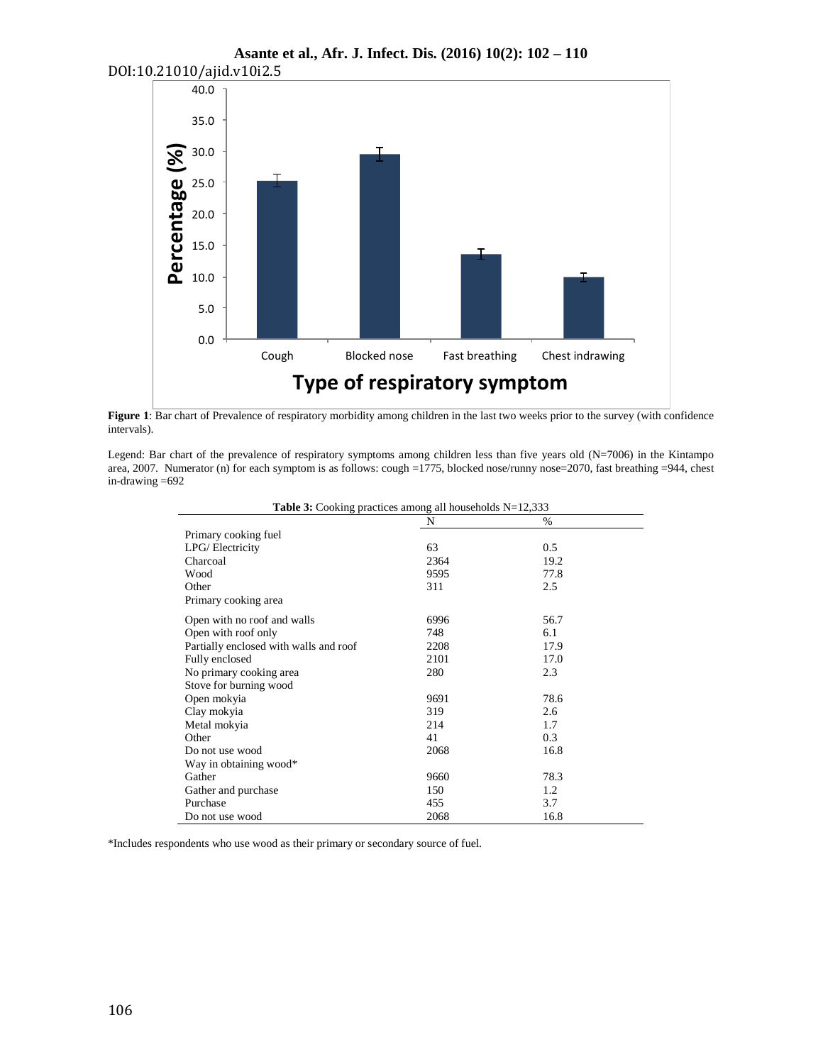



**Figure 1**: Bar chart of Prevalence of respiratory morbidity among children in the last two weeks prior to the survey (with confidence intervals).

Legend: Bar chart of the prevalence of respiratory symptoms among children less than five years old (N=7006) in the Kintampo area, 2007. Numerator (n) for each symptom is as follows: cough =1775, blocked nose/runny nose=2070, fast breathing =944, chest in-drawing =692

| <b>Table 3:</b> Cooking practices among all households $N=12,333$ |      |      |  |  |  |  |
|-------------------------------------------------------------------|------|------|--|--|--|--|
|                                                                   | N    | %    |  |  |  |  |
| Primary cooking fuel                                              |      |      |  |  |  |  |
| LPG/Electricity                                                   | 63   | 0.5  |  |  |  |  |
| Charcoal                                                          | 2364 | 19.2 |  |  |  |  |
| Wood                                                              | 9595 | 77.8 |  |  |  |  |
| Other                                                             | 311  | 2.5  |  |  |  |  |
| Primary cooking area                                              |      |      |  |  |  |  |
| Open with no roof and walls                                       | 6996 | 56.7 |  |  |  |  |
| Open with roof only                                               | 748  | 6.1  |  |  |  |  |
| Partially enclosed with walls and roof                            | 2208 | 17.9 |  |  |  |  |
| Fully enclosed                                                    | 2101 | 17.0 |  |  |  |  |
| No primary cooking area                                           | 280  | 2.3  |  |  |  |  |
| Stove for burning wood                                            |      |      |  |  |  |  |
| Open mokyia                                                       | 9691 | 78.6 |  |  |  |  |
| Clay mokyia                                                       | 319  | 2.6  |  |  |  |  |
| Metal mokyia                                                      | 214  | 1.7  |  |  |  |  |
| Other                                                             | 41   | 0.3  |  |  |  |  |
| Do not use wood                                                   | 2068 | 16.8 |  |  |  |  |
| Way in obtaining wood*                                            |      |      |  |  |  |  |
| Gather                                                            | 9660 | 78.3 |  |  |  |  |
| Gather and purchase                                               | 150  | 1.2  |  |  |  |  |
| Purchase                                                          | 455  | 3.7  |  |  |  |  |
| Do not use wood                                                   | 2068 | 16.8 |  |  |  |  |

|  |  |  | <b>Table 3:</b> Cooking practices among all households $N=12,333$ |  |
|--|--|--|-------------------------------------------------------------------|--|
|  |  |  |                                                                   |  |

\*Includes respondents who use wood as their primary or secondary source of fuel.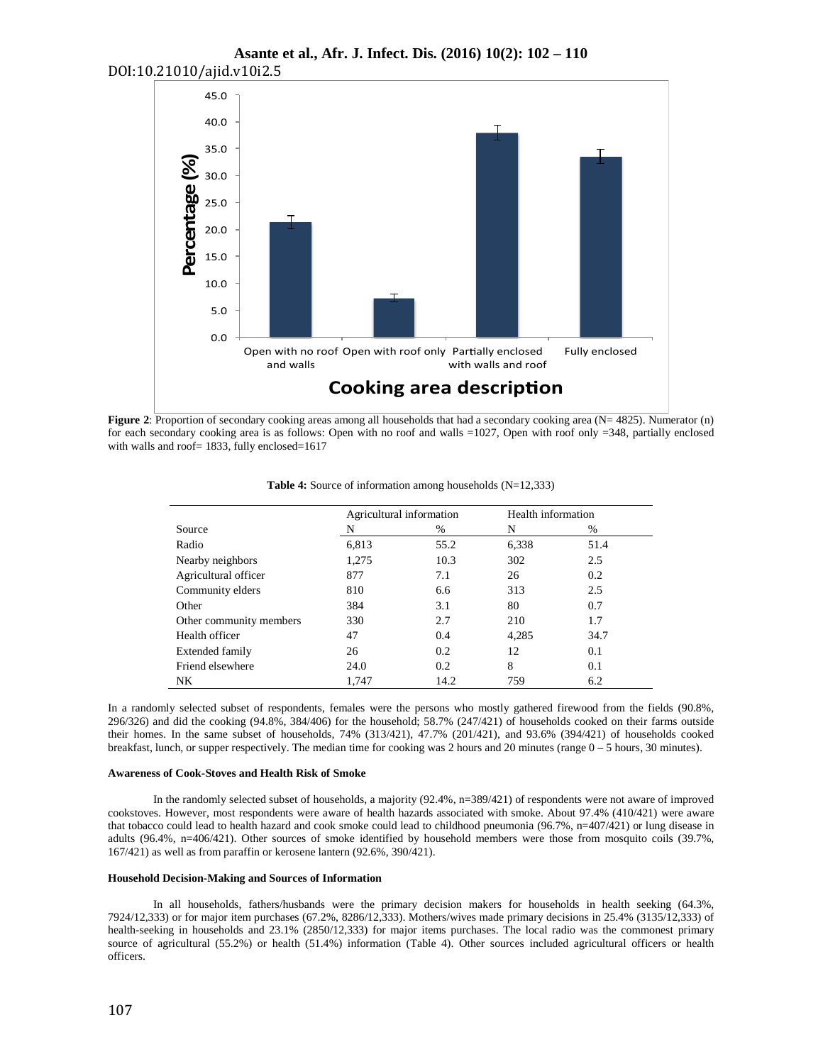

**Figure 2**: Proportion of secondary cooking areas among all households that had a secondary cooking area (N= 4825). Numerator (n) for each secondary cooking area is as follows: Open with no roof and walls  $=1027$ , Open with roof only  $=348$ , partially enclosed with walls and roof= 1833, fully enclosed=1617

|                         | Agricultural information |      | Health information |      |
|-------------------------|--------------------------|------|--------------------|------|
| Source                  | N                        | $\%$ | N                  | %    |
| Radio                   | 6,813                    | 55.2 | 6,338              | 51.4 |
| Nearby neighbors        | 1,275                    | 10.3 | 302                | 2.5  |
| Agricultural officer    | 877                      | 7.1  | 26                 | 0.2  |
| Community elders        | 810                      | 6.6  | 313                | 2.5  |
| Other                   | 384                      | 3.1  | 80                 | 0.7  |
| Other community members | 330                      | 2.7  | 210                | 1.7  |
| Health officer          | 47                       | 0.4  | 4,285              | 34.7 |
| Extended family         | 26                       | 0.2  | 12                 | 0.1  |
| Friend elsewhere        | 24.0                     | 0.2  | 8                  | 0.1  |
| NK.                     | 1.747                    | 14.2 | 759                | 6.2  |

**Table 4:** Source of information among households (N=12,333)

In a randomly selected subset of respondents, females were the persons who mostly gathered firewood from the fields (90.8%, 296/326) and did the cooking (94.8%, 384/406) for the household; 58.7% (247/421) of households cooked on their farms outside their homes. In the same subset of households, 74% (313/421), 47.7% (201/421), and 93.6% (394/421) of households cooked breakfast, lunch, or supper respectively. The median time for cooking was 2 hours and 20 minutes (range  $0 - 5$  hours, 30 minutes).

## **Awareness of Cook-Stoves and Health Risk of Smoke**

In the randomly selected subset of households, a majority (92.4%, n=389/421) of respondents were not aware of improved cookstoves. However, most respondents were aware of health hazards associated with smoke. About 97.4% (410/421) were aware that tobacco could lead to health hazard and cook smoke could lead to childhood pneumonia (96.7%, n=407/421) or lung disease in adults (96.4%, n=406/421). Other sources of smoke identified by household members were those from mosquito coils (39.7%, 167/421) as well as from paraffin or kerosene lantern (92.6%, 390/421).

### **Household Decision-Making and Sources of Information**

In all households, fathers/husbands were the primary decision makers for households in health seeking (64.3%, 7924/12,333) or for major item purchases (67.2%, 8286/12,333). Mothers/wives made primary decisions in 25.4% (3135/12,333) of health-seeking in households and 23.1% (2850/12,333) for major items purchases. The local radio was the commonest primary source of agricultural (55.2%) or health (51.4%) information (Table 4). Other sources included agricultural officers or health officers.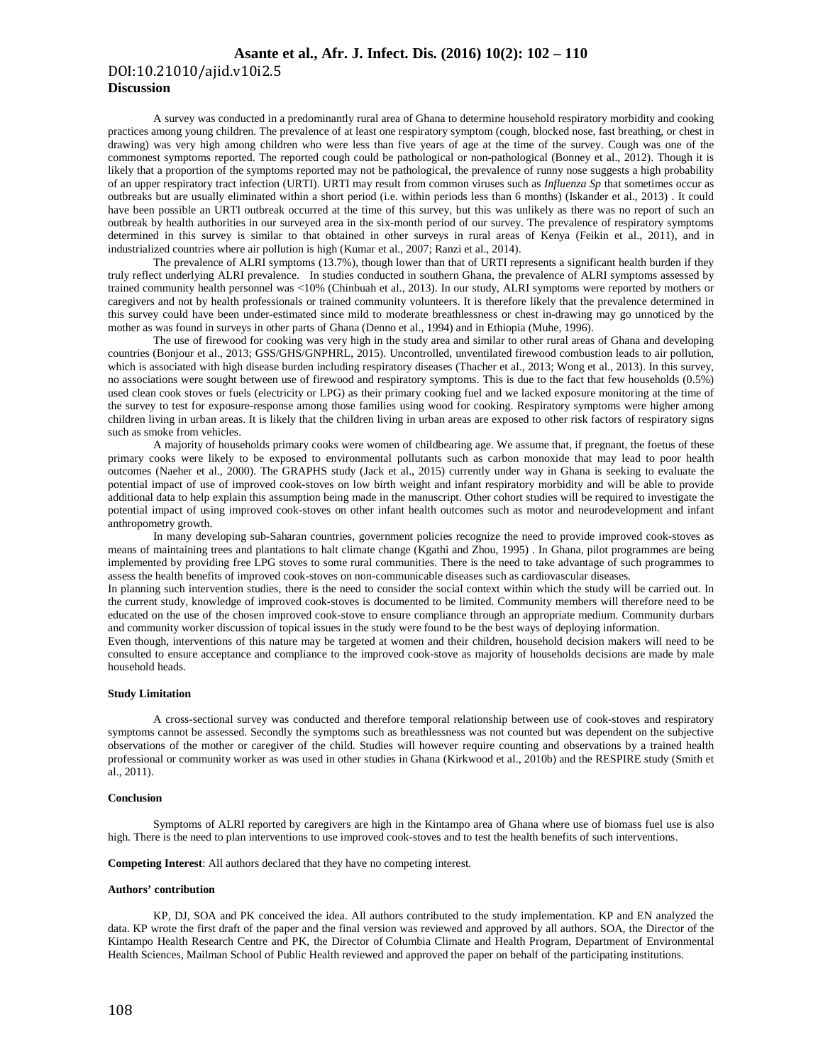DOI:10.21010/ajid.v10i2.5 **Discussion**

A survey was conducted in a predominantly rural area of Ghana to determine household respiratory morbidity and cooking practices among young children. The prevalence of at least one respiratory symptom (cough, blocked nose, fast breathing, or chest in drawing) was very high among children who were less than five years of age at the time of the survey. Cough was one of the commonest symptoms reported. The reported cough could be pathological or non-pathological (Bonney et al., 2012). Though it is likely that a proportion of the symptoms reported may not be pathological, the prevalence of runny nose suggests a high probability of an upper respiratory tract infection (URTI). URTI may result from common viruses such as *Influenza Sp* that sometimes occur as outbreaks but are usually eliminated within a short period (i.e. within periods less than 6 months) (Iskander et al., 2013) . It could have been possible an URTI outbreak occurred at the time of this survey, but this was unlikely as there was no report of such an outbreak by health authorities in our surveyed area in the six-month period of our survey. The prevalence of respiratory symptoms determined in this survey is similar to that obtained in other surveys in rural areas of Kenya (Feikin et al., 2011), and in industrialized countries where air pollution is high (Kumar et al., 2007; Ranzi et al., 2014).

The prevalence of ALRI symptoms (13.7%), though lower than that of URTI represents a significant health burden if they truly reflect underlying ALRI prevalence. In studies conducted in southern Ghana, the prevalence of ALRI symptoms assessed by trained community health personnel was <10% (Chinbuah et al., 2013). In our study, ALRI symptoms were reported by mothers or caregivers and not by health professionals or trained community volunteers. It is therefore likely that the prevalence determined in this survey could have been under-estimated since mild to moderate breathlessness or chest in-drawing may go unnoticed by the mother as was found in surveys in other parts of Ghana (Denno et al., 1994) and in Ethiopia (Muhe, 1996).

The use of firewood for cooking was very high in the study area and similar to other rural areas of Ghana and developing countries (Bonjour et al., 2013; GSS/GHS/GNPHRL, 2015). Uncontrolled, unventilated firewood combustion leads to air pollution, which is associated with high disease burden including respiratory diseases (Thacher et al., 2013; Wong et al., 2013). In this survey, no associations were sought between use of firewood and respiratory symptoms. This is due to the fact that few households (0.5%) used clean cook stoves or fuels (electricity or LPG) as their primary cooking fuel and we lacked exposure monitoring at the time of the survey to test for exposure-response among those families using wood for cooking. Respiratory symptoms were higher among children living in urban areas. It is likely that the children living in urban areas are exposed to other risk factors of respiratory signs such as smoke from vehicles.

A majority of households primary cooks were women of childbearing age. We assume that, if pregnant, the foetus of these primary cooks were likely to be exposed to environmental pollutants such as carbon monoxide that may lead to poor health outcomes (Naeher et al., 2000). The GRAPHS study (Jack et al., 2015) currently under way in Ghana is seeking to evaluate the potential impact of use of improved cook-stoves on low birth weight and infant respiratory morbidity and will be able to provide additional data to help explain this assumption being made in the manuscript. Other cohort studies will be required to investigate the potential impact of using improved cook-stoves on other infant health outcomes such as motor and neurodevelopment and infant anthropometry growth.

In many developing sub-Saharan countries, government policies recognize the need to provide improved cook-stoves as means of maintaining trees and plantations to halt climate change (Kgathi and Zhou, 1995) . In Ghana, pilot programmes are being implemented by providing free LPG stoves to some rural communities. There is the need to take advantage of such programmes to assess the health benefits of improved cook-stoves on non-communicable diseases such as cardiovascular diseases.

In planning such intervention studies, there is the need to consider the social context within which the study will be carried out. In the current study, knowledge of improved cook-stoves is documented to be limited. Community members will therefore need to be educated on the use of the chosen improved cook-stove to ensure compliance through an appropriate medium. Community durbars and community worker discussion of topical issues in the study were found to be the best ways of deploying information.

Even though, interventions of this nature may be targeted at women and their children, household decision makers will need to be consulted to ensure acceptance and compliance to the improved cook-stove as majority of households decisions are made by male household heads.

### **Study Limitation**

A cross-sectional survey was conducted and therefore temporal relationship between use of cook-stoves and respiratory symptoms cannot be assessed. Secondly the symptoms such as breathlessness was not counted but was dependent on the subjective observations of the mother or caregiver of the child. Studies will however require counting and observations by a trained health professional or community worker as was used in other studies in Ghana (Kirkwood et al., 2010b) and the RESPIRE study (Smith et al., 2011).

### **Conclusion**

Symptoms of ALRI reported by caregivers are high in the Kintampo area of Ghana where use of biomass fuel use is also high. There is the need to plan interventions to use improved cook-stoves and to test the health benefits of such interventions.

**Competing Interest**: All authors declared that they have no competing interest.

### **Authors' contribution**

KP, DJ, SOA and PK conceived the idea. All authors contributed to the study implementation. KP and EN analyzed the data. KP wrote the first draft of the paper and the final version was reviewed and approved by all authors. SOA, the Director of the Kintampo Health Research Centre and PK, the Director of Columbia Climate and Health Program, Department of Environmental Health Sciences, Mailman School of Public Health reviewed and approved the paper on behalf of the participating institutions.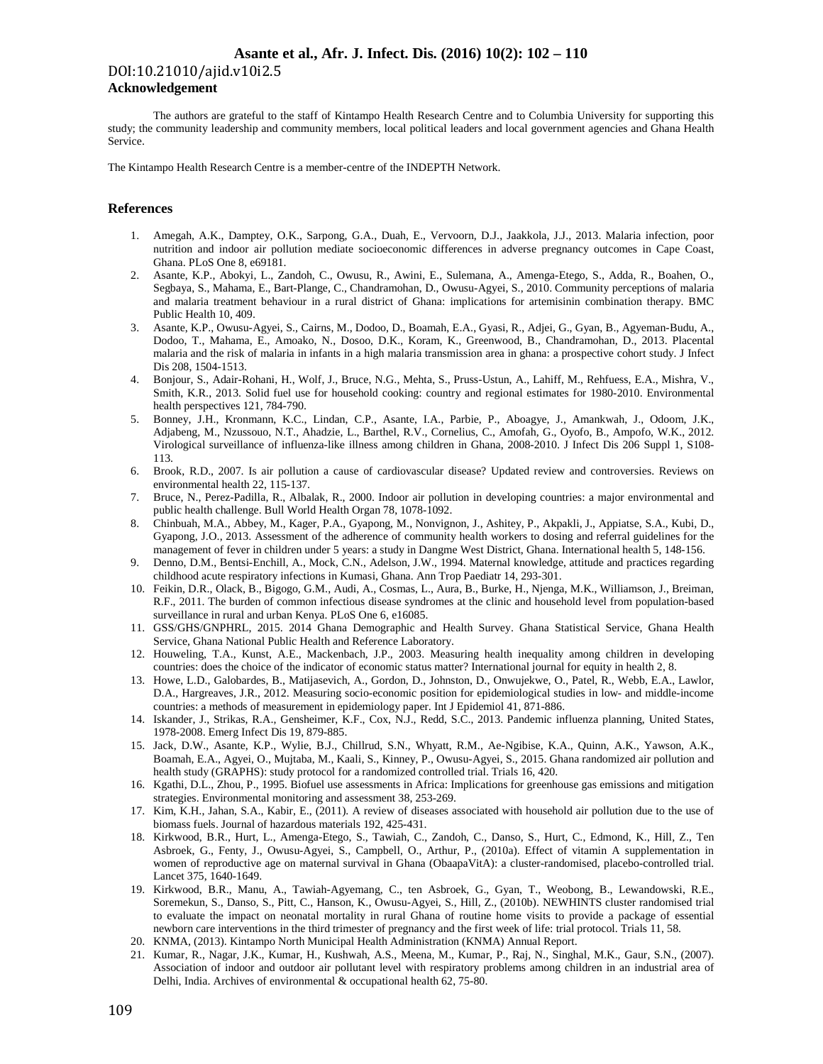# DOI:10.21010/ajid.v10i2.5 **Acknowledgement**

The authors are grateful to the staff of Kintampo Health Research Centre and to Columbia University for supporting this study; the community leadership and community members, local political leaders and local government agencies and Ghana Health Service.

The Kintampo Health Research Centre is a member-centre of the INDEPTH Network.

## **References**

- 1. Amegah, A.K., Damptey, O.K., Sarpong, G.A., Duah, E., Vervoorn, D.J., Jaakkola, J.J., 2013. Malaria infection, poor nutrition and indoor air pollution mediate socioeconomic differences in adverse pregnancy outcomes in Cape Coast, Ghana. PLoS One 8, e69181.
- 2. Asante, K.P., Abokyi, L., Zandoh, C., Owusu, R., Awini, E., Sulemana, A., Amenga-Etego, S., Adda, R., Boahen, O., Segbaya, S., Mahama, E., Bart-Plange, C., Chandramohan, D., Owusu-Agyei, S., 2010. Community perceptions of malaria and malaria treatment behaviour in a rural district of Ghana: implications for artemisinin combination therapy. BMC Public Health 10, 409.
- 3. Asante, K.P., Owusu-Agyei, S., Cairns, M., Dodoo, D., Boamah, E.A., Gyasi, R., Adjei, G., Gyan, B., Agyeman-Budu, A., Dodoo, T., Mahama, E., Amoako, N., Dosoo, D.K., Koram, K., Greenwood, B., Chandramohan, D., 2013. Placental malaria and the risk of malaria in infants in a high malaria transmission area in ghana: a prospective cohort study. J Infect Dis 208, 1504-1513.
- 4. Bonjour, S., Adair-Rohani, H., Wolf, J., Bruce, N.G., Mehta, S., Pruss-Ustun, A., Lahiff, M., Rehfuess, E.A., Mishra, V., Smith, K.R., 2013. Solid fuel use for household cooking: country and regional estimates for 1980-2010. Environmental health perspectives 121, 784-790.
- 5. Bonney, J.H., Kronmann, K.C., Lindan, C.P., Asante, I.A., Parbie, P., Aboagye, J., Amankwah, J., Odoom, J.K., Adjabeng, M., Nzussouo, N.T., Ahadzie, L., Barthel, R.V., Cornelius, C., Amofah, G., Oyofo, B., Ampofo, W.K., 2012. Virological surveillance of influenza-like illness among children in Ghana, 2008-2010. J Infect Dis 206 Suppl 1, S108- 113.
- 6. Brook, R.D., 2007. Is air pollution a cause of cardiovascular disease? Updated review and controversies. Reviews on environmental health 22, 115-137.
- 7. Bruce, N., Perez-Padilla, R., Albalak, R., 2000. Indoor air pollution in developing countries: a major environmental and public health challenge. Bull World Health Organ 78, 1078-1092.
- 8. Chinbuah, M.A., Abbey, M., Kager, P.A., Gyapong, M., Nonvignon, J., Ashitey, P., Akpakli, J., Appiatse, S.A., Kubi, D., Gyapong, J.O., 2013. Assessment of the adherence of community health workers to dosing and referral guidelines for the management of fever in children under 5 years: a study in Dangme West District, Ghana. International health 5, 148-156.
- 9. Denno, D.M., Bentsi-Enchill, A., Mock, C.N., Adelson, J.W., 1994. Maternal knowledge, attitude and practices regarding childhood acute respiratory infections in Kumasi, Ghana. Ann Trop Paediatr 14, 293-301.
- 10. Feikin, D.R., Olack, B., Bigogo, G.M., Audi, A., Cosmas, L., Aura, B., Burke, H., Njenga, M.K., Williamson, J., Breiman, R.F., 2011. The burden of common infectious disease syndromes at the clinic and household level from population-based surveillance in rural and urban Kenya. PLoS One 6, e16085.
- 11. GSS/GHS/GNPHRL, 2015. 2014 Ghana Demographic and Health Survey. Ghana Statistical Service, Ghana Health Service, Ghana National Public Health and Reference Laboratory.
- 12. Houweling, T.A., Kunst, A.E., Mackenbach, J.P., 2003. Measuring health inequality among children in developing countries: does the choice of the indicator of economic status matter? International journal for equity in health 2, 8.
- 13. Howe, L.D., Galobardes, B., Matijasevich, A., Gordon, D., Johnston, D., Onwujekwe, O., Patel, R., Webb, E.A., Lawlor, D.A., Hargreaves, J.R., 2012. Measuring socio-economic position for epidemiological studies in low- and middle-income countries: a methods of measurement in epidemiology paper. Int J Epidemiol 41, 871-886.
- 14. Iskander, J., Strikas, R.A., Gensheimer, K.F., Cox, N.J., Redd, S.C., 2013. Pandemic influenza planning, United States, 1978-2008. Emerg Infect Dis 19, 879-885.
- 15. Jack, D.W., Asante, K.P., Wylie, B.J., Chillrud, S.N., Whyatt, R.M., Ae-Ngibise, K.A., Quinn, A.K., Yawson, A.K., Boamah, E.A., Agyei, O., Mujtaba, M., Kaali, S., Kinney, P., Owusu-Agyei, S., 2015. Ghana randomized air pollution and health study (GRAPHS): study protocol for a randomized controlled trial. Trials 16, 420.
- 16. Kgathi, D.L., Zhou, P., 1995. Biofuel use assessments in Africa: Implications for greenhouse gas emissions and mitigation strategies. Environmental monitoring and assessment 38, 253-269.
- 17. Kim, K.H., Jahan, S.A., Kabir, E., (2011). A review of diseases associated with household air pollution due to the use of biomass fuels. Journal of hazardous materials 192, 425-431.
- 18. Kirkwood, B.R., Hurt, L., Amenga-Etego, S., Tawiah, C., Zandoh, C., Danso, S., Hurt, C., Edmond, K., Hill, Z., Ten Asbroek, G., Fenty, J., Owusu-Agyei, S., Campbell, O., Arthur, P., (2010a). Effect of vitamin A supplementation in women of reproductive age on maternal survival in Ghana (ObaapaVitA): a cluster-randomised, placebo-controlled trial. Lancet 375, 1640-1649.
- 19. Kirkwood, B.R., Manu, A., Tawiah-Agyemang, C., ten Asbroek, G., Gyan, T., Weobong, B., Lewandowski, R.E., Soremekun, S., Danso, S., Pitt, C., Hanson, K., Owusu-Agyei, S., Hill, Z., (2010b). NEWHINTS cluster randomised trial to evaluate the impact on neonatal mortality in rural Ghana of routine home visits to provide a package of essential newborn care interventions in the third trimester of pregnancy and the first week of life: trial protocol. Trials 11, 58.
- 20. KNMA, (2013). Kintampo North Municipal Health Administration (KNMA) Annual Report.
- 21. Kumar, R., Nagar, J.K., Kumar, H., Kushwah, A.S., Meena, M., Kumar, P., Raj, N., Singhal, M.K., Gaur, S.N., (2007). Association of indoor and outdoor air pollutant level with respiratory problems among children in an industrial area of Delhi, India. Archives of environmental & occupational health 62, 75-80.